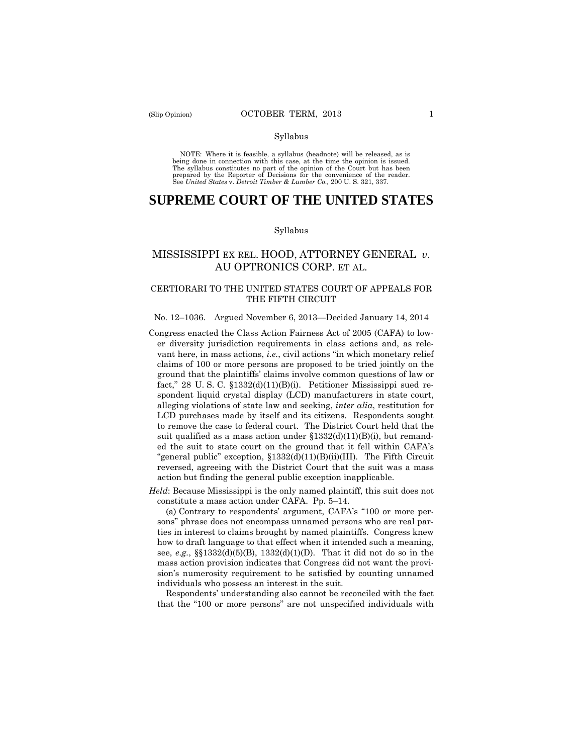#### Syllabus

 NOTE: Where it is feasible, a syllabus (headnote) will be released, as is being done in connection with this case, at the time the opinion is issued. The syllabus constitutes no part of the opinion of the Court but has been<br>prepared by the Reporter of Decisions for the convenience of the reader.<br>See United States v. Detroit Timber & Lumber Co., 200 U.S. 321, 337.

# **SUPREME COURT OF THE UNITED STATES**

#### Syllabus

# MISSISSIPPI EX REL. HOOD, ATTORNEY GENERAL *v*. AU OPTRONICS CORP. ET AL.

### CERTIORARI TO THE UNITED STATES COURT OF APPEALS FOR THE FIFTH CIRCUIT

#### No. 12–1036. Argued November 6, 2013—Decided January 14, 2014

- Congress enacted the Class Action Fairness Act of 2005 (CAFA) to lower diversity jurisdiction requirements in class actions and, as relevant here, in mass actions, *i.e.*, civil actions "in which monetary relief claims of 100 or more persons are proposed to be tried jointly on the ground that the plaintiffs' claims involve common questions of law or fact," 28 U. S. C. §1332(d)(11)(B)(i). Petitioner Mississippi sued respondent liquid crystal display (LCD) manufacturers in state court, alleging violations of state law and seeking, *inter alia*, restitution for LCD purchases made by itself and its citizens. Respondents sought to remove the case to federal court. The District Court held that the suit qualified as a mass action under  $$1332(d)(11)(B)(i)$ , but remanded the suit to state court on the ground that it fell within CAFA's "general public" exception, §1332(d)(11)(B)(ii)(III). The Fifth Circuit reversed, agreeing with the District Court that the suit was a mass action but finding the general public exception inapplicable.
- *Held*: Because Mississippi is the only named plaintiff, this suit does not constitute a mass action under CAFA. Pp. 5–14.

(a) Contrary to respondents' argument, CAFA's "100 or more persons" phrase does not encompass unnamed persons who are real parties in interest to claims brought by named plaintiffs. Congress knew how to draft language to that effect when it intended such a meaning, see, *e.g.*, §§1332(d)(5)(B), 1332(d)(1)(D). That it did not do so in the mass action provision indicates that Congress did not want the provision's numerosity requirement to be satisfied by counting unnamed individuals who possess an interest in the suit.

Respondents' understanding also cannot be reconciled with the fact that the "100 or more persons" are not unspecified individuals with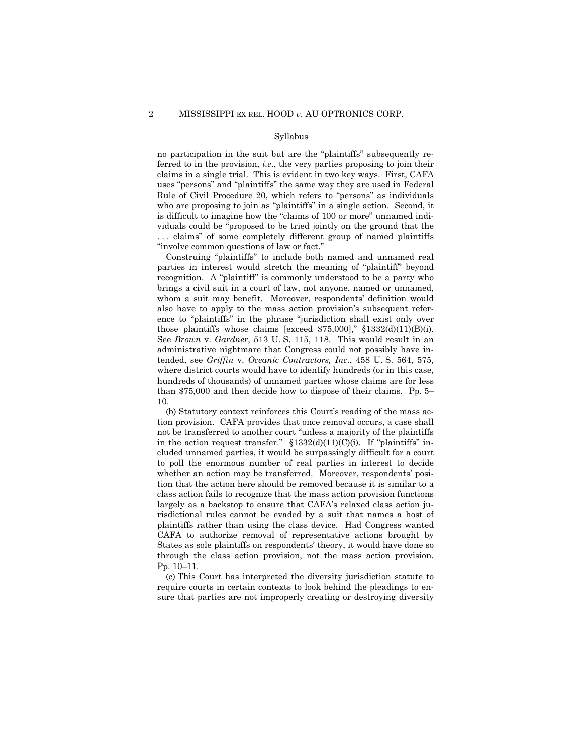#### Syllabus

no participation in the suit but are the "plaintiffs" subsequently referred to in the provision, *i.e.*, the very parties proposing to join their claims in a single trial. This is evident in two key ways. First, CAFA uses "persons" and "plaintiffs" the same way they are used in Federal Rule of Civil Procedure 20, which refers to "persons" as individuals who are proposing to join as "plaintiffs" in a single action. Second, it is difficult to imagine how the "claims of 100 or more" unnamed individuals could be "proposed to be tried jointly on the ground that the ... claims" of some completely different group of named plaintiffs "involve common questions of law or fact."

Construing "plaintiffs" to include both named and unnamed real parties in interest would stretch the meaning of "plaintiff" beyond recognition. A "plaintiff" is commonly understood to be a party who brings a civil suit in a court of law, not anyone, named or unnamed, whom a suit may benefit. Moreover, respondents' definition would also have to apply to the mass action provision's subsequent reference to "plaintiffs" in the phrase "jurisdiction shall exist only over those plaintiffs whose claims [exceed  $$75,000$ ],"  $$1332(d)(11)(B)(i)$ . See *Brown* v. *Gardner*, 513 U. S. 115, 118. This would result in an administrative nightmare that Congress could not possibly have intended, see *Griffin* v. *Oceanic Contractors, Inc.*, 458 U. S. 564, 575, where district courts would have to identify hundreds (or in this case, hundreds of thousands) of unnamed parties whose claims are for less than \$75,000 and then decide how to dispose of their claims. Pp. 5– 10.

(b) Statutory context reinforces this Court's reading of the mass action provision. CAFA provides that once removal occurs, a case shall not be transferred to another court "unless a majority of the plaintiffs in the action request transfer."  $$1332(d)(11)(C)(i)$ . If "plaintiffs" included unnamed parties, it would be surpassingly difficult for a court to poll the enormous number of real parties in interest to decide whether an action may be transferred. Moreover, respondents' position that the action here should be removed because it is similar to a class action fails to recognize that the mass action provision functions largely as a backstop to ensure that CAFA's relaxed class action jurisdictional rules cannot be evaded by a suit that names a host of plaintiffs rather than using the class device. Had Congress wanted CAFA to authorize removal of representative actions brought by States as sole plaintiffs on respondents' theory, it would have done so through the class action provision, not the mass action provision. Pp. 10–11.

(c) This Court has interpreted the diversity jurisdiction statute to require courts in certain contexts to look behind the pleadings to ensure that parties are not improperly creating or destroying diversity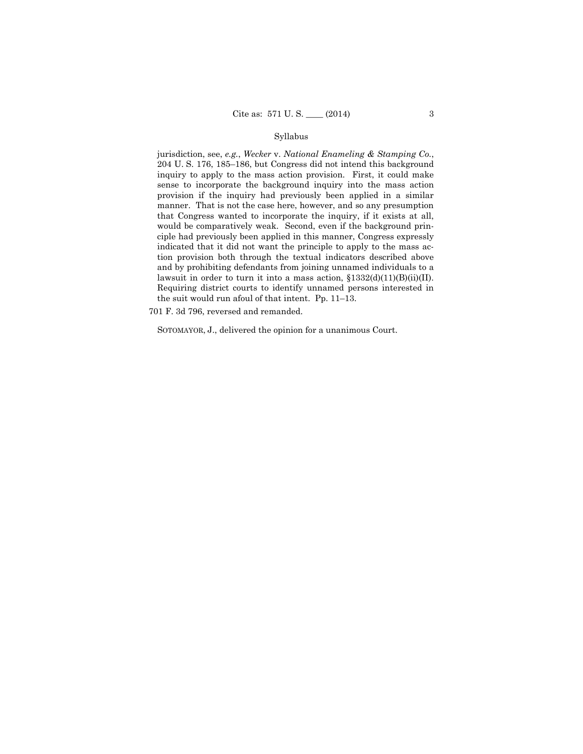### Syllabus

lawsuit in order to turn it into a mass action,  $$1332(d)(11)(B)(ii)(II)$ . jurisdiction, see, *e.g.*, *Wecker* v. *National Enameling & Stamping Co.*, 204 U. S. 176, 185–186, but Congress did not intend this background inquiry to apply to the mass action provision. First, it could make sense to incorporate the background inquiry into the mass action provision if the inquiry had previously been applied in a similar manner. That is not the case here, however, and so any presumption that Congress wanted to incorporate the inquiry, if it exists at all, would be comparatively weak. Second, even if the background principle had previously been applied in this manner, Congress expressly indicated that it did not want the principle to apply to the mass action provision both through the textual indicators described above and by prohibiting defendants from joining unnamed individuals to a Requiring district courts to identify unnamed persons interested in the suit would run afoul of that intent. Pp. 11–13.

701 F. 3d 796, reversed and remanded.

SOTOMAYOR, J., delivered the opinion for a unanimous Court.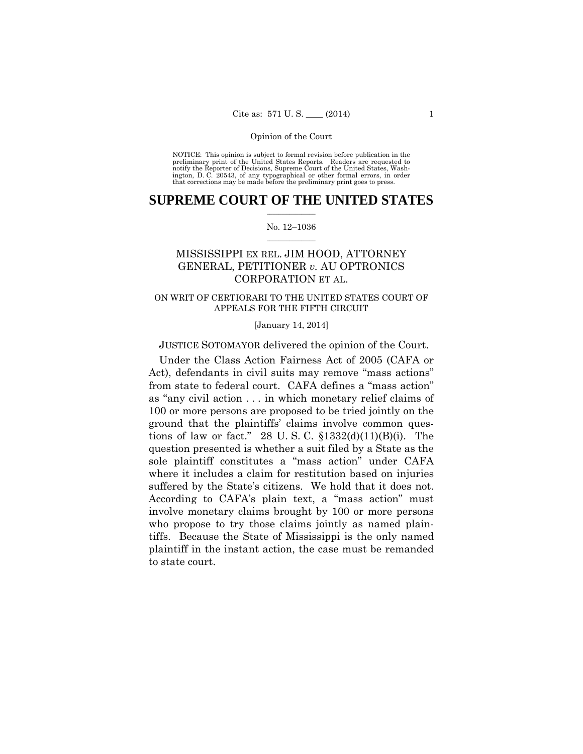preliminary print of the United States Reports. Readers are requested to notify the Reporter of Decisions, Supreme Court of the United States, Wash- ington, D. C. 20543, of any typographical or other formal errors, in order that corrections may be made before the preliminary print goes to press. NOTICE: This opinion is subject to formal revision before publication in the

### $\frac{1}{2}$  ,  $\frac{1}{2}$  ,  $\frac{1}{2}$  ,  $\frac{1}{2}$  ,  $\frac{1}{2}$  ,  $\frac{1}{2}$  ,  $\frac{1}{2}$ **SUPREME COURT OF THE UNITED STATES**

### $\frac{1}{2}$  ,  $\frac{1}{2}$  ,  $\frac{1}{2}$  ,  $\frac{1}{2}$  ,  $\frac{1}{2}$  ,  $\frac{1}{2}$ No. 12–1036

# MISSISSIPPI EX REL. JIM HOOD, ATTORNEY GENERAL, PETITIONER *v.* AU OPTRONICS CORPORATION ET AL.

### ON WRIT OF CERTIORARI TO THE UNITED STATES COURT OF APPEALS FOR THE FIFTH CIRCUIT

[January 14, 2014]

JUSTICE SOTOMAYOR delivered the opinion of the Court.

 suffered by the State's citizens. We hold that it does not. Under the Class Action Fairness Act of 2005 (CAFA or Act), defendants in civil suits may remove "mass actions" from state to federal court. CAFA defines a "mass action" as "any civil action . . . in which monetary relief claims of 100 or more persons are proposed to be tried jointly on the ground that the plaintiffs' claims involve common questions of law or fact." 28 U.S.C.  $$1332(d)(11)(B)(i)$ . The question presented is whether a suit filed by a State as the sole plaintiff constitutes a "mass action" under CAFA where it includes a claim for restitution based on injuries According to CAFA's plain text, a "mass action" must involve monetary claims brought by 100 or more persons who propose to try those claims jointly as named plaintiffs. Because the State of Mississippi is the only named plaintiff in the instant action, the case must be remanded to state court.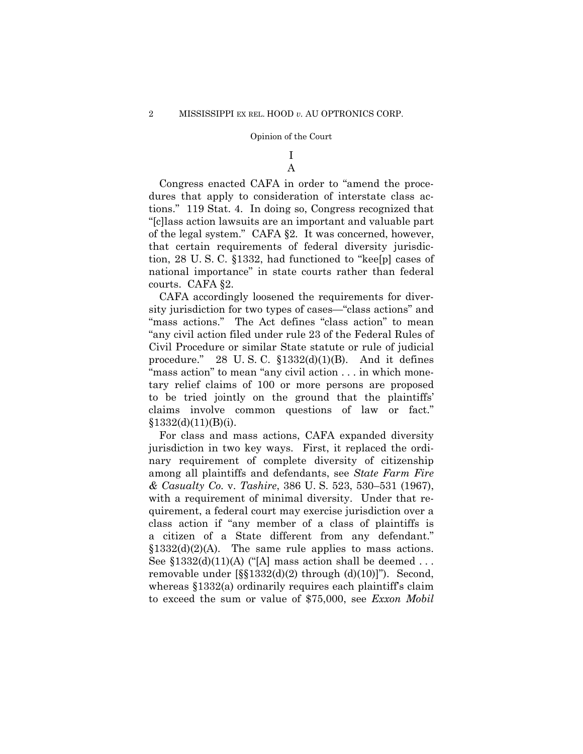### I A

 of the legal system." CAFA §2. It was concerned, however, Congress enacted CAFA in order to "amend the procedures that apply to consideration of interstate class actions." 119 Stat. 4. In doing so, Congress recognized that "[c]lass action lawsuits are an important and valuable part that certain requirements of federal diversity jurisdiction, 28 U. S. C. §1332, had functioned to "kee[p] cases of national importance" in state courts rather than federal courts. CAFA §2.

CAFA accordingly loosened the requirements for diversity jurisdiction for two types of cases—"class actions" and "mass actions." The Act defines "class action" to mean "any civil action filed under rule 23 of the Federal Rules of Civil Procedure or similar State statute or rule of judicial procedure." 28 U.S.C.  $$1332(d)(1)(B)$ . And it defines "mass action" to mean "any civil action . . . in which monetary relief claims of 100 or more persons are proposed to be tried jointly on the ground that the plaintiffs' claims involve common questions of law or fact."  $§1332(d)(11)(B)(i).$ 

For class and mass actions, CAFA expanded diversity jurisdiction in two key ways. First, it replaced the ordinary requirement of complete diversity of citizenship among all plaintiffs and defendants, see *State Farm Fire & Casualty Co.* v. *Tashire*, 386 U. S. 523, 530–531 (1967), with a requirement of minimal diversity. Under that requirement, a federal court may exercise jurisdiction over a class action if "any member of a class of plaintiffs is a citizen of a State different from any defendant."  $$1332(d)(2)(A)$ . The same rule applies to mass actions. See  $$1332(d)(11)(A)$  ("[A] mass action shall be deemed ... removable under [§§1332(d)(2) through (d)(10)]"). Second, whereas §1332(a) ordinarily requires each plaintiff's claim to exceed the sum or value of \$75,000, see *Exxon Mobil*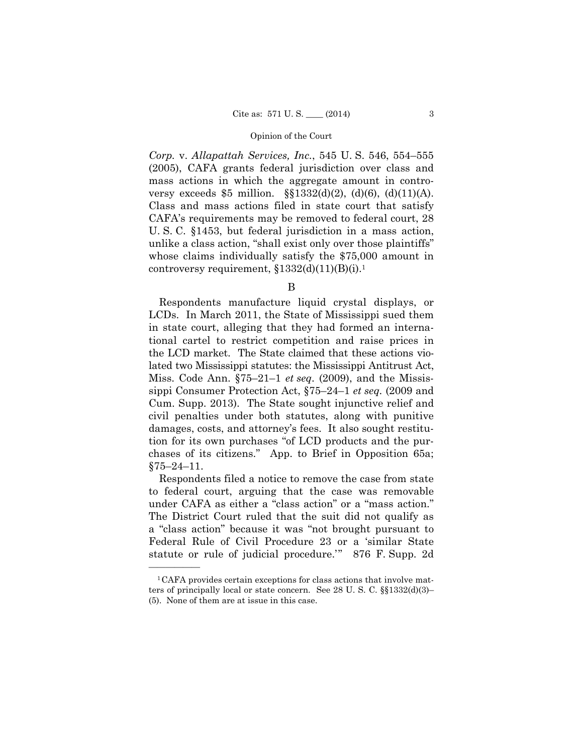*Corp.* v. *Allapattah Services, Inc.*, 545 U. S. 546, 554–555 (2005), CAFA grants federal jurisdiction over class and mass actions in which the aggregate amount in controversy exceeds \$5 million.  $\S$ [1332(d)(2), (d)(6), (d)(11)(A). Class and mass actions filed in state court that satisfy CAFA's requirements may be removed to federal court, 28 U. S. C. §1453, but federal jurisdiction in a mass action, unlike a class action, "shall exist only over those plaintiffs" whose claims individually satisfy the \$75,000 amount in controversy requirement,  $$1332(d)(11)(B)(i).<sup>1</sup>$ 

B

Respondents manufacture liquid crystal displays, or LCDs. In March 2011, the State of Mississippi sued them in state court, alleging that they had formed an international cartel to restrict competition and raise prices in the LCD market. The State claimed that these actions violated two Mississippi statutes: the Mississippi Antitrust Act, Miss. Code Ann. §75–21–1 *et seq*. (2009), and the Mississippi Consumer Protection Act, §75–24–1 *et seq.* (2009 and Cum. Supp. 2013). The State sought injunctive relief and civil penalties under both statutes, along with punitive damages, costs, and attorney's fees. It also sought restitution for its own purchases "of LCD products and the purchases of its citizens." App. to Brief in Opposition 65a;  $§75 - 24 - 11.$ 

Respondents filed a notice to remove the case from state to federal court, arguing that the case was removable under CAFA as either a "class action" or a "mass action." The District Court ruled that the suit did not qualify as a "class action" because it was "not brought pursuant to Federal Rule of Civil Procedure 23 or a 'similar State statute or rule of judicial procedure.'" 876 F. Supp. 2d

<sup>1</sup>CAFA provides certain exceptions for class actions that involve matters of principally local or state concern. See 28 U. S. C. §§1332(d)(3)– (5). None of them are at issue in this case.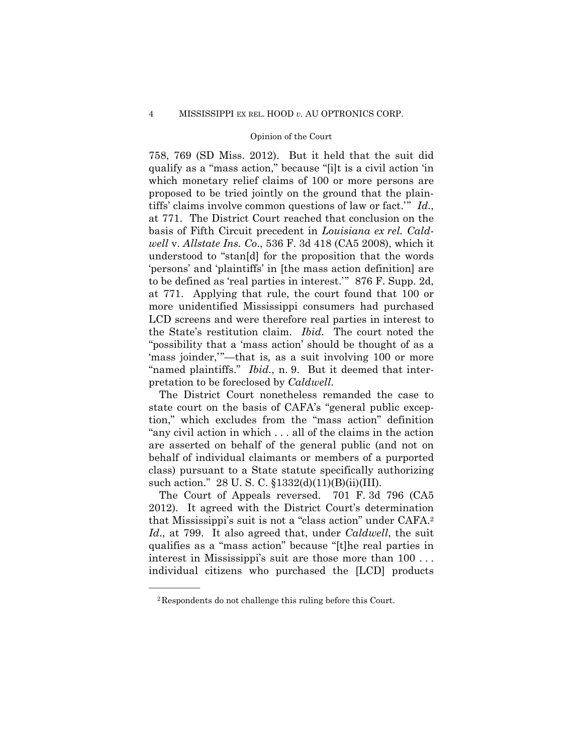758, 769 (SD Miss. 2012). But it held that the suit did qualify as a "mass action," because "[i]t is a civil action 'in which monetary relief claims of 100 or more persons are proposed to be tried jointly on the ground that the plaintiffs' claims involve common questions of law or fact.'" *Id*., at 771. The District Court reached that conclusion on the basis of Fifth Circuit precedent in *Louisiana ex rel. Caldwell* v. *Allstate Ins. Co*., 536 F. 3d 418 (CA5 2008), which it understood to "stan[d] for the proposition that the words 'persons' and 'plaintiffs' in [the mass action definition] are to be defined as 'real parties in interest.'" 876 F. Supp. 2d, at 771. Applying that rule, the court found that 100 or more unidentified Mississippi consumers had purchased LCD screens and were therefore real parties in interest to the State's restitution claim. *Ibid*. The court noted the "possibility that a 'mass action' should be thought of as a 'mass joinder,'"—that is*,* as a suit involving 100 or more "named plaintiffs." *Ibid.*, n. 9. But it deemed that interpretation to be foreclosed by *Caldwell*.

The District Court nonetheless remanded the case to state court on the basis of CAFA's "general public exception," which excludes from the "mass action" definition "any civil action in which . . . all of the claims in the action are asserted on behalf of the general public (and not on behalf of individual claimants or members of a purported class) pursuant to a State statute specifically authorizing such action." 28 U. S. C. §1332(d)(11)(B)(ii)(III).

 that Mississippi's suit is not a "class action" under CAFA.2 The Court of Appeals reversed. 701 F. 3d 796 (CA5 2012). It agreed with the District Court's determination *Id*., at 799. It also agreed that, under *Caldwell*, the suit qualifies as a "mass action" because "[t]he real parties in interest in Mississippi's suit are those more than 100 . . . individual citizens who purchased the [LCD] products

<sup>2</sup>Respondents do not challenge this ruling before this Court.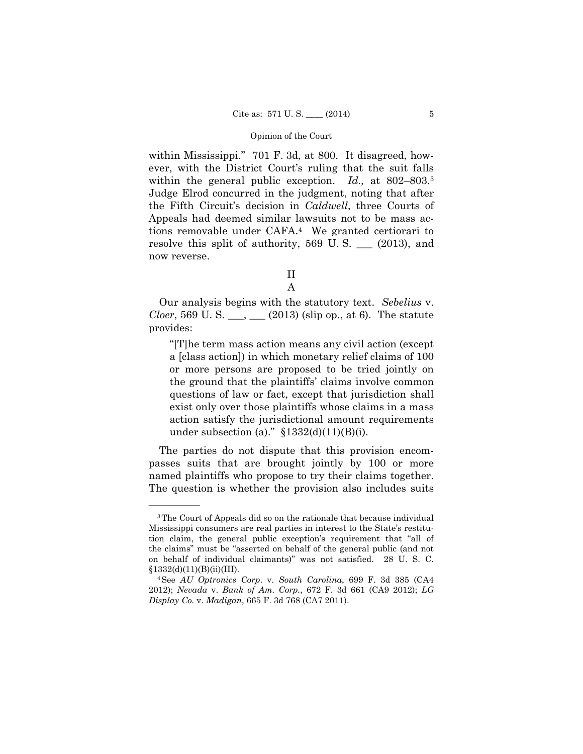within the general public exception. *Id.,* at 802–803.3 within Mississippi." 701 F. 3d, at 800. It disagreed, however, with the District Court's ruling that the suit falls Judge Elrod concurred in the judgment, noting that after the Fifth Circuit's decision in *Caldwell*, three Courts of Appeals had deemed similar lawsuits not to be mass actions removable under CAFA.4 We granted certiorari to resolve this split of authority,  $569 \text{ U.S.}$  (2013), and now reverse.

II

A

Our analysis begins with the statutory text. *Sebelius* v. *Cloer*, 569 U. S.  $\_\_\_\_\_\_\_\_\_$  (2013) (slip op., at 6). The statute provides:

"[T]he term mass action means any civil action (except a [class action]) in which monetary relief claims of 100 or more persons are proposed to be tried jointly on the ground that the plaintiffs' claims involve common questions of law or fact, except that jurisdiction shall exist only over those plaintiffs whose claims in a mass action satisfy the jurisdictional amount requirements under subsection (a)."  $$1332(d)(11)(B)(i)$ .

The parties do not dispute that this provision encompasses suits that are brought jointly by 100 or more named plaintiffs who propose to try their claims together. The question is whether the provision also includes suits

<sup>3</sup>The Court of Appeals did so on the rationale that because individual Mississippi consumers are real parties in interest to the State's restitution claim, the general public exception's requirement that "all of the claims" must be "asserted on behalf of the general public (and not on behalf of individual claimants)" was not satisfied. 28 U. S. C. §1332(d)(11)(B)(ii)(III). 4See *AU Optronics Corp*. v. *South Carolina*, 699 F. 3d 385 (CA4

<sup>2012);</sup> *Nevada* v. *Bank of Am. Corp.*, 672 F. 3d 661 (CA9 2012); *LG Display Co.* v. *Madigan*, 665 F. 3d 768 (CA7 2011).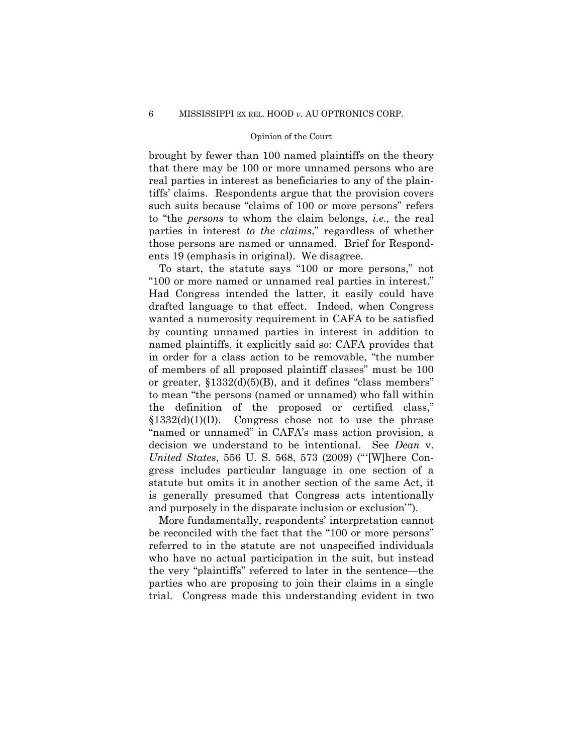brought by fewer than 100 named plaintiffs on the theory that there may be 100 or more unnamed persons who are real parties in interest as beneficiaries to any of the plaintiffs' claims. Respondents argue that the provision covers such suits because "claims of 100 or more persons" refers to "the *persons* to whom the claim belongs, *i.e.,* the real parties in interest *to the claims*," regardless of whether those persons are named or unnamed. Brief for Respondents 19 (emphasis in original). We disagree.

To start, the statute says "100 or more persons," not "100 or more named or unnamed real parties in interest." Had Congress intended the latter, it easily could have drafted language to that effect. Indeed, when Congress wanted a numerosity requirement in CAFA to be satisfied by counting unnamed parties in interest in addition to named plaintiffs, it explicitly said so: CAFA provides that in order for a class action to be removable, "the number of members of all proposed plaintiff classes" must be 100 or greater,  $$1332(d)(5)(B)$ , and it defines "class members" to mean "the persons (named or unnamed) who fall within the definition of the proposed or certified class,"  $$1332(d)(1)(D)$ . Congress chose not to use the phrase "named or unnamed" in CAFA's mass action provision, a decision we understand to be intentional. See *Dean* v. *United States*, 556 U. S. 568, 573 (2009) ("'[W]here Congress includes particular language in one section of a statute but omits it in another section of the same Act, it is generally presumed that Congress acts intentionally and purposely in the disparate inclusion or exclusion'").

More fundamentally, respondents' interpretation cannot be reconciled with the fact that the "100 or more persons" referred to in the statute are not unspecified individuals who have no actual participation in the suit, but instead the very "plaintiffs" referred to later in the sentence—the parties who are proposing to join their claims in a single trial. Congress made this understanding evident in two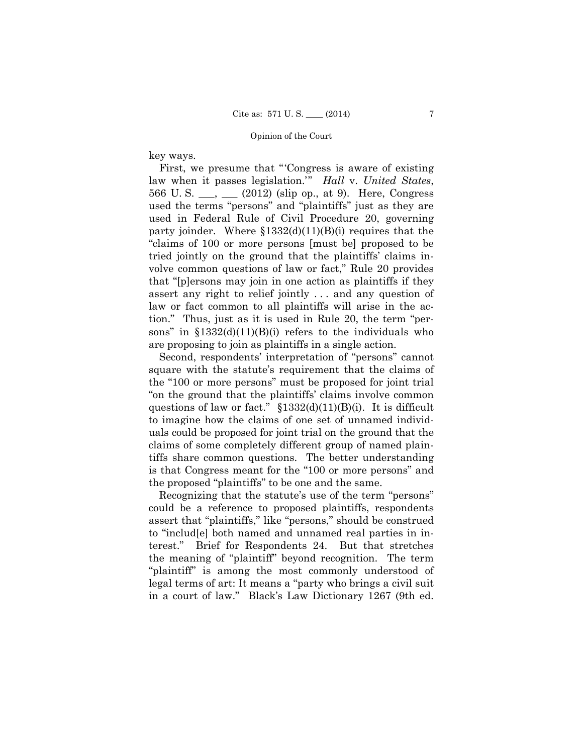key ways.

First, we presume that "'Congress is aware of existing law when it passes legislation.'" *Hall* v. *United States*, 566 U. S. \_\_\_, \_\_\_ (2012) (slip op., at 9). Here, Congress used the terms "persons" and "plaintiffs" just as they are used in Federal Rule of Civil Procedure 20, governing party joinder. Where  $$1332(d)(11)(B)(i)$  requires that the "claims of 100 or more persons [must be] proposed to be tried jointly on the ground that the plaintiffs' claims involve common questions of law or fact," Rule 20 provides that "[p]ersons may join in one action as plaintiffs if they assert any right to relief jointly . . . and any question of law or fact common to all plaintiffs will arise in the action." Thus, just as it is used in Rule 20, the term "persons" in  $$1332(d)(11)(B)(i)$  refers to the individuals who are proposing to join as plaintiffs in a single action.

 uals could be proposed for joint trial on the ground that the Second, respondents' interpretation of "persons" cannot square with the statute's requirement that the claims of the "100 or more persons" must be proposed for joint trial "on the ground that the plaintiffs' claims involve common questions of law or fact." §1332(d)(11)(B)(i). It is difficult to imagine how the claims of one set of unnamed individclaims of some completely different group of named plaintiffs share common questions. The better understanding is that Congress meant for the "100 or more persons" and the proposed "plaintiffs" to be one and the same.

Recognizing that the statute's use of the term "persons" could be a reference to proposed plaintiffs, respondents assert that "plaintiffs," like "persons," should be construed to "includ[e] both named and unnamed real parties in interest." Brief for Respondents 24. But that stretches the meaning of "plaintiff" beyond recognition. The term "plaintiff" is among the most commonly understood of legal terms of art: It means a "party who brings a civil suit in a court of law." Black's Law Dictionary 1267 (9th ed.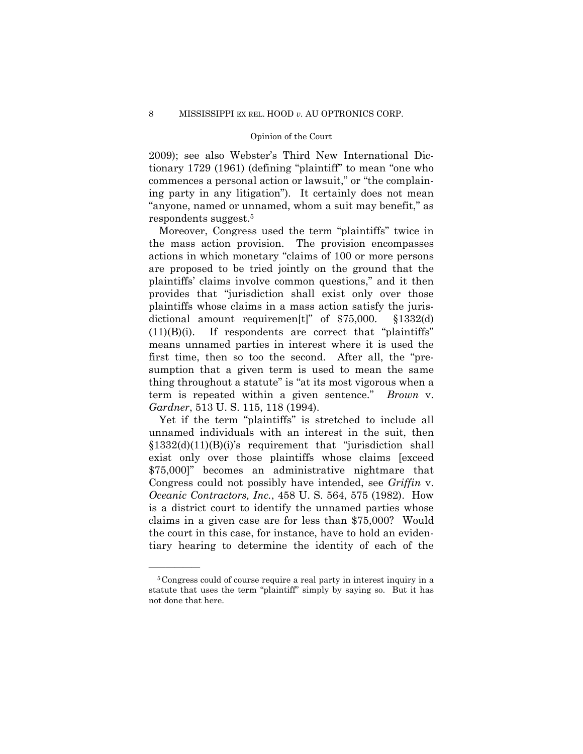2009); see also Webster's Third New International Dictionary 1729 (1961) (defining "plaintiff" to mean "one who commences a personal action or lawsuit," or "the complaining party in any litigation"). It certainly does not mean "anyone, named or unnamed, whom a suit may benefit," as respondents suggest.5

Moreover, Congress used the term "plaintiffs" twice in the mass action provision. The provision encompasses actions in which monetary "claims of 100 or more persons are proposed to be tried jointly on the ground that the plaintiffs' claims involve common questions," and it then provides that "jurisdiction shall exist only over those plaintiffs whose claims in a mass action satisfy the jurisdictional amount requiremen[t]" of \$75,000. §1332(d)  $(11)(B)(i)$ . If respondents are correct that "plaintiffs" means unnamed parties in interest where it is used the first time, then so too the second. After all, the "presumption that a given term is used to mean the same thing throughout a statute" is "at its most vigorous when a term is repeated within a given sentence." *Brown* v. *Gardner*, 513 U. S. 115, 118 (1994).

Yet if the term "plaintiffs" is stretched to include all unnamed individuals with an interest in the suit, then §1332(d)(11)(B)(i)'s requirement that "jurisdiction shall exist only over those plaintiffs whose claims [exceed \$75,000]" becomes an administrative nightmare that Congress could not possibly have intended, see *Griffin* v. *Oceanic Contractors, Inc.*, 458 U. S. 564, 575 (1982). How is a district court to identify the unnamed parties whose claims in a given case are for less than \$75,000? Would the court in this case, for instance, have to hold an evidentiary hearing to determine the identity of each of the

<sup>5</sup>Congress could of course require a real party in interest inquiry in a statute that uses the term "plaintiff" simply by saying so. But it has not done that here.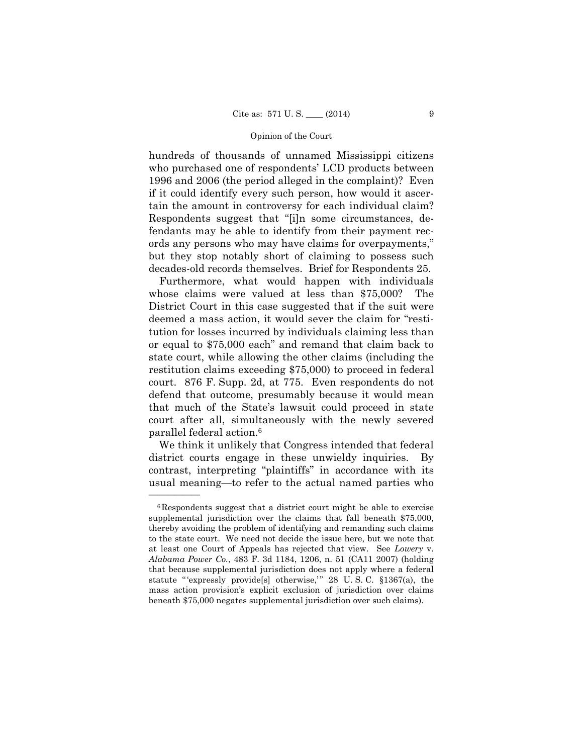hundreds of thousands of unnamed Mississippi citizens who purchased one of respondents' LCD products between 1996 and 2006 (the period alleged in the complaint)? Even if it could identify every such person, how would it ascertain the amount in controversy for each individual claim? Respondents suggest that "[i]n some circumstances, defendants may be able to identify from their payment records any persons who may have claims for overpayments," but they stop notably short of claiming to possess such decades-old records themselves. Brief for Respondents 25.

Furthermore, what would happen with individuals whose claims were valued at less than \$75,000? The District Court in this case suggested that if the suit were deemed a mass action, it would sever the claim for "restitution for losses incurred by individuals claiming less than or equal to \$75,000 each" and remand that claim back to state court, while allowing the other claims (including the restitution claims exceeding \$75,000) to proceed in federal court. 876 F. Supp. 2d, at 775. Even respondents do not defend that outcome, presumably because it would mean that much of the State's lawsuit could proceed in state court after all, simultaneously with the newly severed parallel federal action.6

We think it unlikely that Congress intended that federal district courts engage in these unwieldy inquiries. By contrast, interpreting "plaintiffs" in accordance with its usual meaning—to refer to the actual named parties who

<sup>6</sup>Respondents suggest that a district court might be able to exercise supplemental jurisdiction over the claims that fall beneath \$75,000, thereby avoiding the problem of identifying and remanding such claims to the state court. We need not decide the issue here, but we note that at least one Court of Appeals has rejected that view. See *Lowery* v. *Alabama Power Co.*, 483 F. 3d 1184, 1206, n. 51 (CA11 2007) (holding that because supplemental jurisdiction does not apply where a federal statute "'expressly provide<sup>[s]</sup> otherwise," 28 U.S.C. §1367(a), the mass action provision's explicit exclusion of jurisdiction over claims beneath \$75,000 negates supplemental jurisdiction over such claims).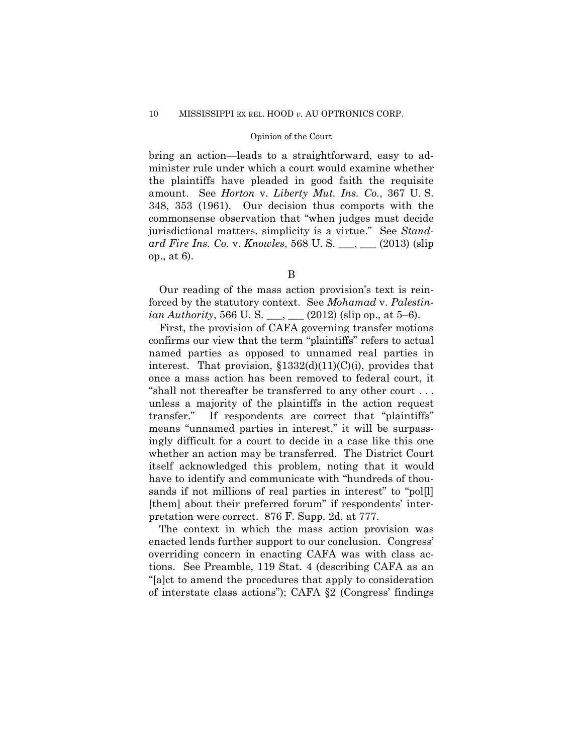amount. See *Horton* v. *Liberty Mut. Ins. Co.*, 367 U. S. bring an action—leads to a straightforward, easy to administer rule under which a court would examine whether the plaintiffs have pleaded in good faith the requisite 348, 353 (1961). Our decision thus comports with the commonsense observation that "when judges must decide jurisdictional matters, simplicity is a virtue." See *Standard Fire Ins. Co.* v. *Knowles*, 568 U. S. \_\_\_, \_\_\_ (2013) (slip op., at 6).

Our reading of the mass action provision's text is reinforced by the statutory context. See *Mohamad* v. *Palestinian Authority*, 566 U.S.  $\qquad (2012)$  (slip op., at 5–6).

First, the provision of CAFA governing transfer motions confirms our view that the term "plaintiffs" refers to actual named parties as opposed to unnamed real parties in interest. That provision,  $$1332(d)(11)(C)(i)$ , provides that once a mass action has been removed to federal court, it "shall not thereafter be transferred to any other court . . . unless a majority of the plaintiffs in the action request transfer." If respondents are correct that "plaintiffs" means "unnamed parties in interest," it will be surpassingly difficult for a court to decide in a case like this one whether an action may be transferred. The District Court itself acknowledged this problem, noting that it would have to identify and communicate with "hundreds of thousands if not millions of real parties in interest" to "pol[l] [them] about their preferred forum" if respondents' interpretation were correct. 876 F. Supp. 2d, at 777.

The context in which the mass action provision was enacted lends further support to our conclusion. Congress' overriding concern in enacting CAFA was with class actions. See Preamble, 119 Stat. 4 (describing CAFA as an "[a]ct to amend the procedures that apply to consideration of interstate class actions"); CAFA §2 (Congress' findings

B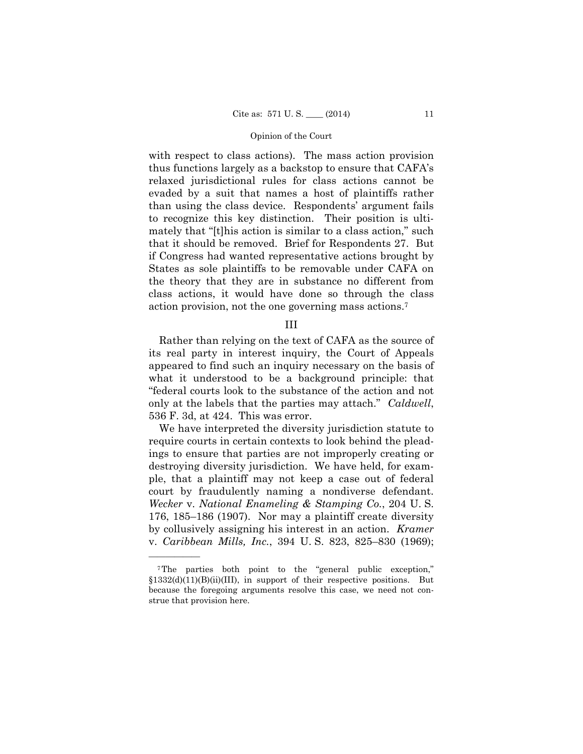with respect to class actions). The mass action provision thus functions largely as a backstop to ensure that CAFA's relaxed jurisdictional rules for class actions cannot be evaded by a suit that names a host of plaintiffs rather than using the class device. Respondents' argument fails to recognize this key distinction. Their position is ultimately that "[t]his action is similar to a class action," such that it should be removed. Brief for Respondents 27. But if Congress had wanted representative actions brought by States as sole plaintiffs to be removable under CAFA on the theory that they are in substance no different from class actions, it would have done so through the class action provision, not the one governing mass actions.7

III

 only at the labels that the parties may attach." *Caldwell*, Rather than relying on the text of CAFA as the source of its real party in interest inquiry, the Court of Appeals appeared to find such an inquiry necessary on the basis of what it understood to be a background principle: that "federal courts look to the substance of the action and not 536 F. 3d, at 424. This was error.

We have interpreted the diversity jurisdiction statute to require courts in certain contexts to look behind the pleadings to ensure that parties are not improperly creating or destroying diversity jurisdiction. We have held, for example, that a plaintiff may not keep a case out of federal court by fraudulently naming a nondiverse defendant. *Wecker* v. *National Enameling & Stamping Co.*, 204 U. S. 176, 185–186 (1907). Nor may a plaintiff create diversity by collusively assigning his interest in an action. *Kramer*  v. *Caribbean Mills, Inc.*, 394 U. S. 823, 825–830 (1969);

<sup>7</sup>The parties both point to the "general public exception," §1332(d)(11)(B)(ii)(III), in support of their respective positions. But because the foregoing arguments resolve this case, we need not construe that provision here.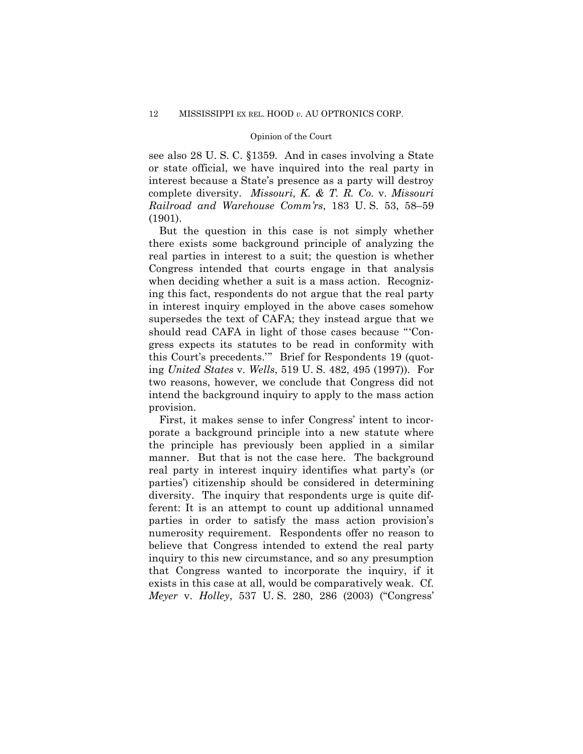see also 28 U. S. C. §1359. And in cases involving a State or state official, we have inquired into the real party in interest because a State's presence as a party will destroy complete diversity. *Missouri, K. & T. R. Co.* v. *Missouri Railroad and Warehouse Comm'rs*, 183 U. S. 53, 58–59 (1901).

But the question in this case is not simply whether there exists some background principle of analyzing the real parties in interest to a suit; the question is whether Congress intended that courts engage in that analysis when deciding whether a suit is a mass action. Recognizing this fact, respondents do not argue that the real party in interest inquiry employed in the above cases somehow supersedes the text of CAFA; they instead argue that we should read CAFA in light of those cases because "'Congress expects its statutes to be read in conformity with this Court's precedents.'" Brief for Respondents 19 (quoting *United States* v. *Wells*, 519 U. S. 482, 495 (1997)). For two reasons, however, we conclude that Congress did not intend the background inquiry to apply to the mass action provision.

First, it makes sense to infer Congress' intent to incorporate a background principle into a new statute where the principle has previously been applied in a similar manner. But that is not the case here. The background real party in interest inquiry identifies what party's (or parties') citizenship should be considered in determining diversity. The inquiry that respondents urge is quite different: It is an attempt to count up additional unnamed parties in order to satisfy the mass action provision's numerosity requirement. Respondents offer no reason to believe that Congress intended to extend the real party inquiry to this new circumstance, and so any presumption that Congress wanted to incorporate the inquiry, if it exists in this case at all, would be comparatively weak. Cf. *Meyer* v. *Holley*, 537 U. S. 280, 286 (2003) ("Congress'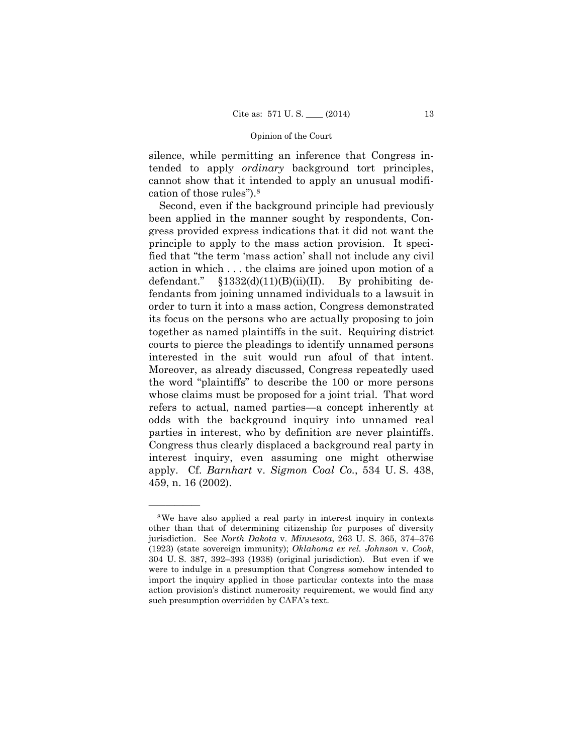silence, while permitting an inference that Congress intended to apply *ordinary* background tort principles, cannot show that it intended to apply an unusual modification of those rules").8

Second, even if the background principle had previously been applied in the manner sought by respondents, Congress provided express indications that it did not want the principle to apply to the mass action provision. It specified that "the term 'mass action' shall not include any civil action in which . . . the claims are joined upon motion of a defendant."  $$1332(d)(11)(B)(ii)(II)$ . By prohibiting defendants from joining unnamed individuals to a lawsuit in order to turn it into a mass action, Congress demonstrated its focus on the persons who are actually proposing to join together as named plaintiffs in the suit. Requiring district courts to pierce the pleadings to identify unnamed persons interested in the suit would run afoul of that intent. Moreover, as already discussed, Congress repeatedly used the word "plaintiffs" to describe the 100 or more persons whose claims must be proposed for a joint trial. That word refers to actual, named parties—a concept inherently at odds with the background inquiry into unnamed real parties in interest, who by definition are never plaintiffs. Congress thus clearly displaced a background real party in interest inquiry, even assuming one might otherwise apply. Cf. *Barnhart* v. *Sigmon Coal Co.*, 534 U. S. 438, 459, n. 16 (2002).

<sup>8</sup>We have also applied a real party in interest inquiry in contexts other than that of determining citizenship for purposes of diversity jurisdiction. See *North Dakota* v. *Minnesota*, 263 U. S. 365, 374–376 (1923) (state sovereign immunity); *Oklahoma ex rel. Johnson* v. *Cook*, 304 U. S. 387, 392–393 (1938) (original jurisdiction). But even if we were to indulge in a presumption that Congress somehow intended to import the inquiry applied in those particular contexts into the mass action provision's distinct numerosity requirement, we would find any such presumption overridden by CAFA's text.